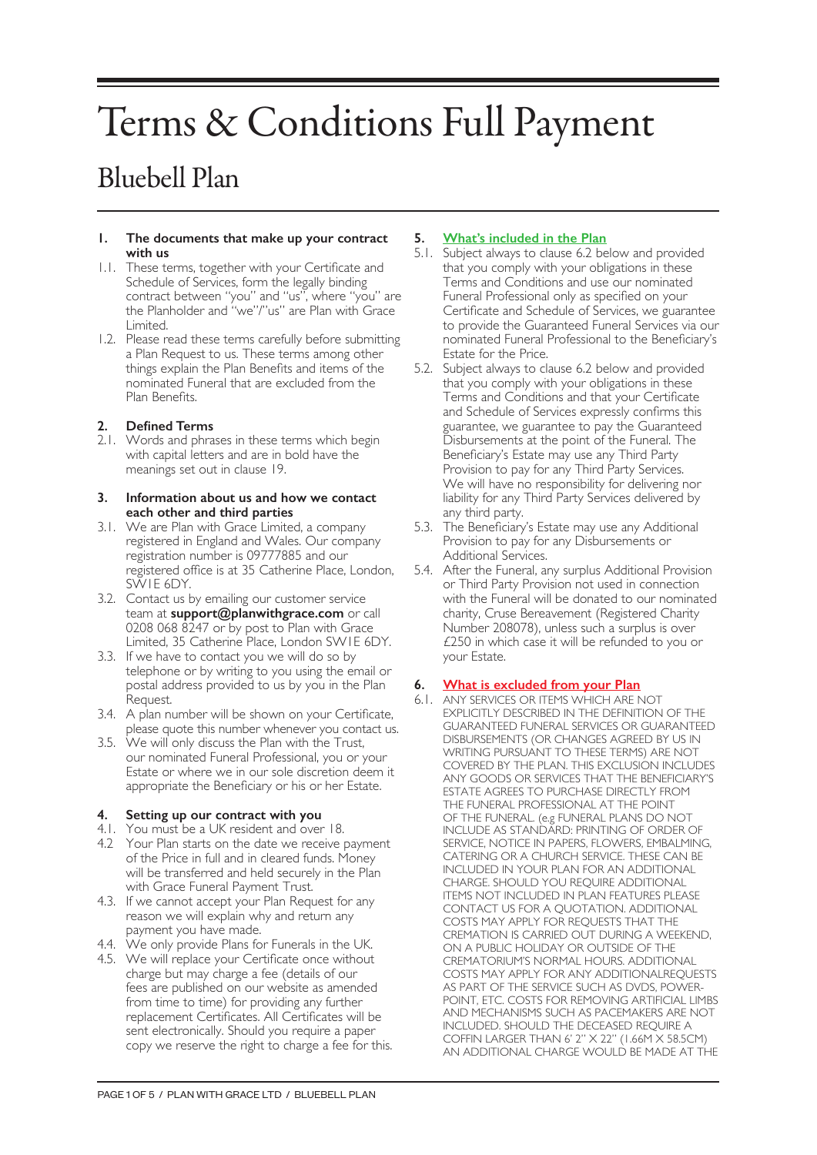# Terms & Conditions Full Payment

# Bluebell Plan

#### **1. The documents that make up your contract with us**

- 1.1. These terms, together with your Certificate and Schedule of Services, form the legally binding contract between "you" and "us", where "you" are the Planholder and "we"/"us" are Plan with Grace Limited.
- 1.2. Please read these terms carefully before submitting a Plan Request to us. These terms among other things explain the Plan Benefits and items of the nominated Funeral that are excluded from the Plan Benefits.

# **2. Defined Terms**

2.1. Words and phrases in these terms which begin with capital letters and are in bold have the meanings set out in clause 19.

#### **3. Information about us and how we contact each other and third parties**

- 3.1. We are Plan with Grace Limited, a company registered in England and Wales. Our company registration number is 09777885 and our registered office is at 35 Catherine Place, London, SW1E 6DY.
- 3.2. Contact us by emailing our customer service team at **support@planwithgrace.com** or call 0208 068 8247 or by post to Plan with Grace Limited, 35 Catherine Place, London SW1E 6DY.
- 3.3. If we have to contact you we will do so by telephone or by writing to you using the email or postal address provided to us by you in the Plan Request.
- 3.4. A plan number will be shown on your Certificate, please quote this number whenever you contact us.
- 3.5. We will only discuss the Plan with the Trust, our nominated Funeral Professional, you or your Estate or where we in our sole discretion deem it appropriate the Beneficiary or his or her Estate.

# **4. Setting up our contract with you**

- 4.1. You must be a UK resident and over 18.
- 4.2 Your Plan starts on the date we receive payment of the Price in full and in cleared funds. Money will be transferred and held securely in the Plan with Grace Funeral Payment Trust.
- 4.3. If we cannot accept your Plan Request for any reason we will explain why and return any payment you have made.
- 4.4. We only provide Plans for Funerals in the UK.
- 4.5. We will replace your Certificate once without charge but may charge a fee (details of our fees are published on our website as amended from time to time) for providing any further replacement Certificates. All Certificates will be sent electronically. Should you require a paper copy we reserve the right to charge a fee for this.

# **5. What's included in the Plan**

- 5.1. Subject always to clause 6.2 below and provided that you comply with your obligations in these Terms and Conditions and use our nominated Funeral Professional only as specified on your Certificate and Schedule of Services, we guarantee to provide the Guaranteed Funeral Services via our nominated Funeral Professional to the Beneficiary's Estate for the Price.
- 5.2. Subject always to clause 6.2 below and provided that you comply with your obligations in these Terms and Conditions and that your Certificate and Schedule of Services expressly confirms this guarantee, we guarantee to pay the Guaranteed Disbursements at the point of the Funeral. The Beneficiary's Estate may use any Third Party Provision to pay for any Third Party Services. We will have no responsibility for delivering nor liability for any Third Party Services delivered by any third party.
- 5.3. The Beneficiary's Estate may use any Additional Provision to pay for any Disbursements or Additional Services.
- 5.4. After the Funeral, any surplus Additional Provision or Third Party Provision not used in connection with the Funeral will be donated to our nominated charity, Cruse Bereavement (Registered Charity Number 208078), unless such a surplus is over £250 in which case it will be refunded to you or your Estate.

# **6. What is excluded from your Plan**

6.1. ANY SERVICES OR ITEMS WHICH ARE NOT EXPLICITLY DESCRIBED IN THE DEFINITION OF THE GUARANTEED FUNERAL SERVICES OR GUARANTEED DISBURSEMENTS (OR CHANGES AGREED BY US IN WRITING PURSUANT TO THESE TERMS) ARE NOT COVERED BY THE PLAN. THIS EXCLUSION INCLUDES ANY GOODS OR SERVICES THAT THE BENEFICIARY'S ESTATE AGREES TO PURCHASE DIRECTLY FROM THE FUNERAL PROFESSIONAL AT THE POINT OF THE FUNERAL. (e.g FUNERAL PLANS DO NOT INCLUDE AS STANDARD: PRINTING OF ORDER OF SERVICE, NOTICE IN PAPERS, FLOWERS, EMBALMING, CATERING OR A CHURCH SERVICE. THESE CAN BE INCLUDED IN YOUR PLAN FOR AN ADDITIONAL CHARGE. SHOULD YOU REQUIRE ADDITIONAL ITEMS NOT INCLUDED IN PLAN FEATURES PLEASE CONTACT US FOR A QUOTATION. ADDITIONAL COSTS MAY APPLY FOR REQUESTS THAT THE CREMATION IS CARRIED OUT DURING A WEEKEND, ON A PUBLIC HOLIDAY OR OUTSIDE OF THE CREMATORIUM'S NORMAL HOURS. ADDITIONAL COSTS MAY APPLY FOR ANY ADDITIONALREQUESTS AS PART OF THE SERVICE SUCH AS DVDS, POWER-POINT, ETC. COSTS FOR REMOVING ARTIFICIAL LIMBS AND MECHANISMS SUCH AS PACEMAKERS ARE NOT INCLUDED. SHOULD THE DECEASED REQUIRE A COFFIN LARGER THAN 6' 2" X 22" (1.66M X 58.5CM) AN ADDITIONAL CHARGE WOULD BE MADE AT THE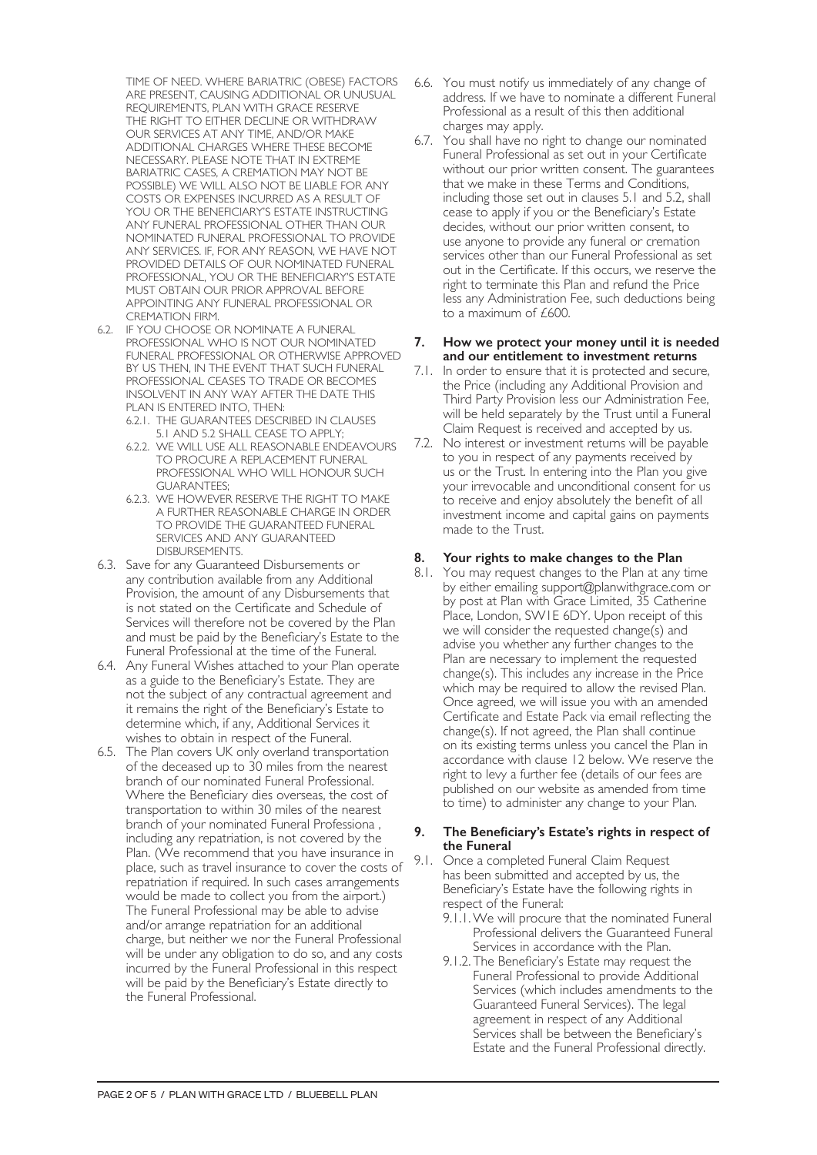TIME OF NEED. WHERE BARIATRIC (OBESE) FACTORS ARE PRESENT, CAUSING ADDITIONAL OR UNUSUAL REQUIREMENTS, PLAN WITH GRACE RESERVE THE RIGHT TO EITHER DECLINE OR WITHDRAW OUR SERVICES AT ANY TIME, AND/OR MAKE ADDITIONAL CHARGES WHERE THESE BECOME NECESSARY. PLEASE NOTE THAT IN EXTREME BARIATRIC CASES, A CREMATION MAY NOT BE POSSIBLE) WE WILL ALSO NOT BE LIABLE FOR ANY COSTS OR EXPENSES INCURRED AS A RESULT OF YOU OR THE BENEFICIARY'S ESTATE INSTRUCTING ANY FUNERAL PROFESSIONAL OTHER THAN OUR NOMINATED FUNERAL PROFESSIONAL TO PROVIDE ANY SERVICES. IF, FOR ANY REASON, WE HAVE NOT PROVIDED DETAILS OF OUR NOMINATED FUNERAL PROFESSIONAL, YOU OR THE BENEFICIARY'S ESTATE MUST OBTAIN OUR PRIOR APPROVAL BEFORE APPOINTING ANY FUNERAL PROFESSIONAL OR CREMATION FIRM.

- 6.2. IF YOU CHOOSE OR NOMINATE A FUNERAL PROFESSIONAL WHO IS NOT OUR NOMINATED FUNERAL PROFESSIONAL OR OTHERWISE APPROVED BY US THEN, IN THE EVENT THAT SUCH FUNERAL PROFESSIONAL CEASES TO TRADE OR BECOMES INSOLVENT IN ANY WAY AFTER THE DATE THIS PLAN IS ENTERED INTO, THEN:
	- 6.2.1. THE GUARANTEES DESCRIBED IN CLAUSES 5.1 AND 5.2 SHALL CEASE TO APPLY;
	- 6.2.2. WE WILL USE ALL REASONABLE ENDEAVOURS TO PROCURE A REPLACEMENT FUNERAL PROFESSIONAL WHO WILL HONOUR SUCH GUARANTEES;
	- 6.2.3. WE HOWEVER RESERVE THE RIGHT TO MAKE A FURTHER REASONABLE CHARGE IN ORDER TO PROVIDE THE GUARANTEED FUNERAL SERVICES AND ANY GUARANTEED DISBURSEMENTS.
- 6.3. Save for any Guaranteed Disbursements or any contribution available from any Additional Provision, the amount of any Disbursements that is not stated on the Certificate and Schedule of Services will therefore not be covered by the Plan and must be paid by the Beneficiary's Estate to the Funeral Professional at the time of the Funeral.
- 6.4. Any Funeral Wishes attached to your Plan operate as a guide to the Beneficiary's Estate. They are not the subject of any contractual agreement and it remains the right of the Beneficiary's Estate to determine which, if any, Additional Services it wishes to obtain in respect of the Funeral.
- 6.5. The Plan covers UK only overland transportation of the deceased up to 30 miles from the nearest branch of our nominated Funeral Professional. Where the Beneficiary dies overseas, the cost of transportation to within 30 miles of the nearest branch of your nominated Funeral Professiona , including any repatriation, is not covered by the Plan. (We recommend that you have insurance in place, such as travel insurance to cover the costs of repatriation if required. In such cases arrangements would be made to collect you from the airport.) The Funeral Professional may be able to advise and/or arrange repatriation for an additional charge, but neither we nor the Funeral Professional will be under any obligation to do so, and any costs incurred by the Funeral Professional in this respect will be paid by the Beneficiary's Estate directly to the Funeral Professional.
- 6.6. You must notify us immediately of any change of address. If we have to nominate a different Funeral Professional as a result of this then additional charges may apply.
- 6.7. You shall have no right to change our nominated Funeral Professional as set out in your Certificate without our prior written consent. The guarantees that we make in these Terms and Conditions, including those set out in clauses 5.1 and 5.2, shall cease to apply if you or the Beneficiary's Estate decides, without our prior written consent, to use anyone to provide any funeral or cremation services other than our Funeral Professional as set out in the Certificate. If this occurs, we reserve the right to terminate this Plan and refund the Price less any Administration Fee, such deductions being to a maximum of £600.

#### **7. How we protect your money until it is needed and our entitlement to investment returns**

- 7.1. In order to ensure that it is protected and secure, the Price (including any Additional Provision and Third Party Provision less our Administration Fee, will be held separately by the Trust until a Funeral Claim Request is received and accepted by us.
- 7.2. No interest or investment returns will be payable to you in respect of any payments received by us or the Trust. In entering into the Plan you give your irrevocable and unconditional consent for us to receive and enjoy absolutely the benefit of all investment income and capital gains on payments made to the Trust.

# **8. Your rights to make changes to the Plan**

8.1. You may request changes to the Plan at any time by either emailing support@planwithgrace.com or by post at Plan with Grace Limited, 35 Catherine Place, London, SW1E 6DY. Upon receipt of this we will consider the requested change(s) and advise you whether any further changes to the Plan are necessary to implement the requested change(s). This includes any increase in the Price which may be required to allow the revised Plan. Once agreed, we will issue you with an amended Certificate and Estate Pack via email reflecting the change(s). If not agreed, the Plan shall continue on its existing terms unless you cancel the Plan in accordance with clause 12 below. We reserve the right to levy a further fee (details of our fees are published on our website as amended from time to time) to administer any change to your Plan.

#### **9. The Beneficiary's Estate's rights in respect of the Funeral**

- 9.1. Once a completed Funeral Claim Request has been submitted and accepted by us, the Beneficiary's Estate have the following rights in respect of the Funeral:
	- 9.1.1.We will procure that the nominated Funeral Professional delivers the Guaranteed Funeral Services in accordance with the Plan.
	- 9.1.2. The Beneficiary's Estate may request the Funeral Professional to provide Additional Services (which includes amendments to the Guaranteed Funeral Services). The legal agreement in respect of any Additional Services shall be between the Beneficiary's Estate and the Funeral Professional directly.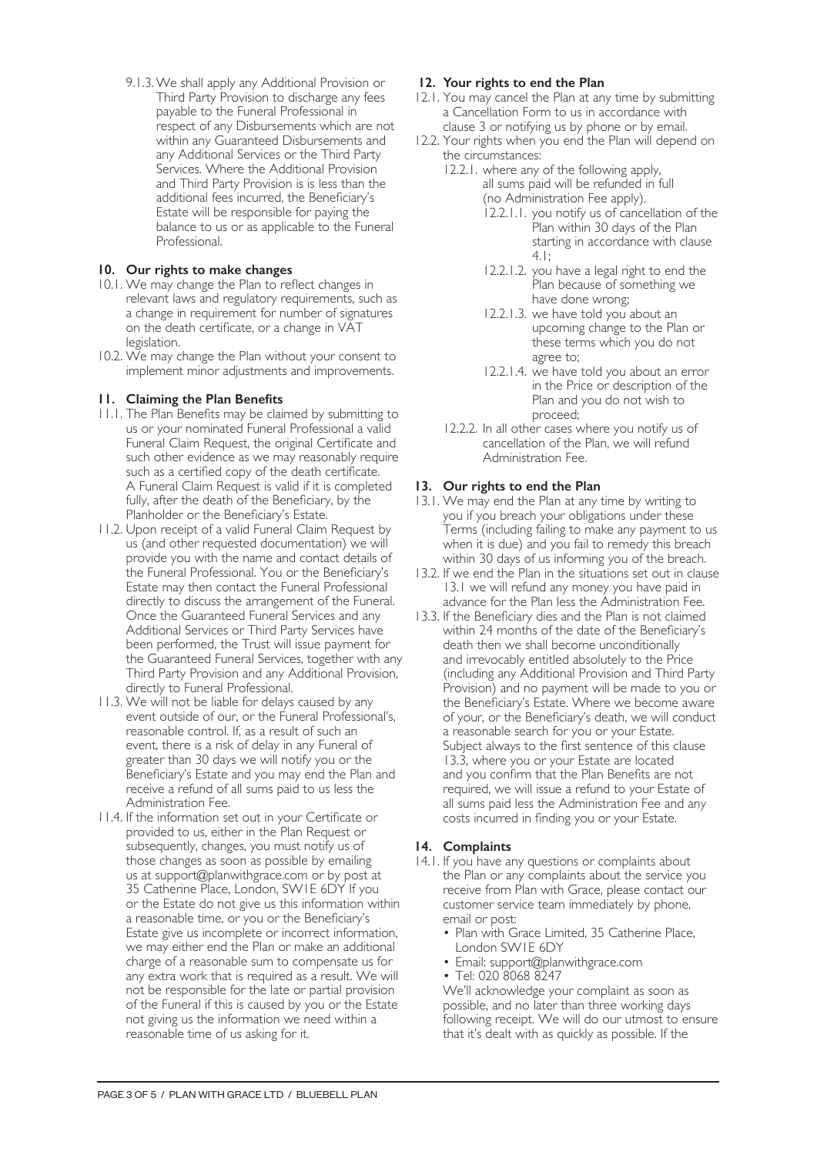9.1.3.We shall apply any Additional Provision or Third Party Provision to discharge any fees payable to the Funeral Professional in respect of any Disbursements which are not within any Guaranteed Disbursements and any Additional Services or the Third Party Services. Where the Additional Provision and Third Party Provision is is less than the additional fees incurred, the Beneficiary's Estate will be responsible for paying the balance to us or as applicable to the Funeral Professional.

# **10. Our rights to make changes**

- 10.1. We may change the Plan to reflect changes in relevant laws and regulatory requirements, such as a change in requirement for number of signatures on the death certificate, or a change in VAT legislation.
- 10.2. We may change the Plan without your consent to implement minor adjustments and improvements.

# **11. Claiming the Plan Benefits**

- 11.1. The Plan Benefits may be claimed by submitting to us or your nominated Funeral Professional a valid Funeral Claim Request, the original Certificate and such other evidence as we may reasonably require such as a certified copy of the death certificate. A Funeral Claim Request is valid if it is completed fully, after the death of the Beneficiary, by the Planholder or the Beneficiary's Estate.
- 11.2. Upon receipt of a valid Funeral Claim Request by us (and other requested documentation) we will provide you with the name and contact details of the Funeral Professional. You or the Beneficiary's Estate may then contact the Funeral Professional directly to discuss the arrangement of the Funeral. Once the Guaranteed Funeral Services and any Additional Services or Third Party Services have been performed, the Trust will issue payment for the Guaranteed Funeral Services, together with any Third Party Provision and any Additional Provision, directly to Funeral Professional.
- 11.3. We will not be liable for delays caused by any event outside of our, or the Funeral Professional's, reasonable control. If, as a result of such an event, there is a risk of delay in any Funeral of greater than 30 days we will notify you or the Beneficiary's Estate and you may end the Plan and receive a refund of all sums paid to us less the Administration Fee.
- 11.4. If the information set out in your Certificate or provided to us, either in the Plan Request or subsequently, changes, you must notify us of those changes as soon as possible by emailing us at support@planwithgrace.com or by post at 35 Catherine Place, London, SW1E 6DY If you or the Estate do not give us this information within a reasonable time, or you or the Beneficiary's Estate give us incomplete or incorrect information, we may either end the Plan or make an additional charge of a reasonable sum to compensate us for any extra work that is required as a result. We will not be responsible for the late or partial provision of the Funeral if this is caused by you or the Estate not giving us the information we need within a reasonable time of us asking for it.

# **12. Your rights to end the Plan**

- 12.1. You may cancel the Plan at any time by submitting a Cancellation Form to us in accordance with clause 3 or notifying us by phone or by email.
- 12.2. Your rights when you end the Plan will depend on the circumstances:
	- 12.2.1. where any of the following apply, all sums paid will be refunded in full (no Administration Fee apply).
		- 12.2.1.1. you notify us of cancellation of the Plan within 30 days of the Plan starting in accordance with clause 4.1;
		- 12.2.1.2. you have a legal right to end the Plan because of something we have done wrong;
		- 12.2.1.3. we have told you about an upcoming change to the Plan or these terms which you do not agree to;
		- 12.2.1.4. we have told you about an error in the Price or description of the Plan and you do not wish to proceed;
	- 12.2.2. In all other cases where you notify us of cancellation of the Plan, we will refund Administration Fee.

# **13. Our rights to end the Plan**

- 13.1. We may end the Plan at any time by writing to you if you breach your obligations under these Terms (including failing to make any payment to us when it is due) and you fail to remedy this breach within 30 days of us informing you of the breach.
- 13.2. If we end the Plan in the situations set out in clause 13.1 we will refund any money you have paid in advance for the Plan less the Administration Fee.
- 13.3. If the Beneficiary dies and the Plan is not claimed within 24 months of the date of the Beneficiary's death then we shall become unconditionally and irrevocably entitled absolutely to the Price (including any Additional Provision and Third Party Provision) and no payment will be made to you or the Beneficiary's Estate. Where we become aware of your, or the Beneficiary's death, we will conduct a reasonable search for you or your Estate. Subject always to the first sentence of this clause 13.3, where you or your Estate are located and you confirm that the Plan Benefits are not required, we will issue a refund to your Estate of all sums paid less the Administration Fee and any costs incurred in finding you or your Estate.

### **14. Complaints**

- 14.1. If you have any questions or complaints about the Plan or any complaints about the service you receive from Plan with Grace, please contact our customer service team immediately by phone, email or post:
	- Plan with Grace Limited, 35 Catherine Place, London SW1E 6DY
	- Email: support@planwithgrace.com
	- Tel: 020 8068 8247

We'll acknowledge your complaint as soon as possible, and no later than three working days following receipt. We will do our utmost to ensure that it's dealt with as quickly as possible. If the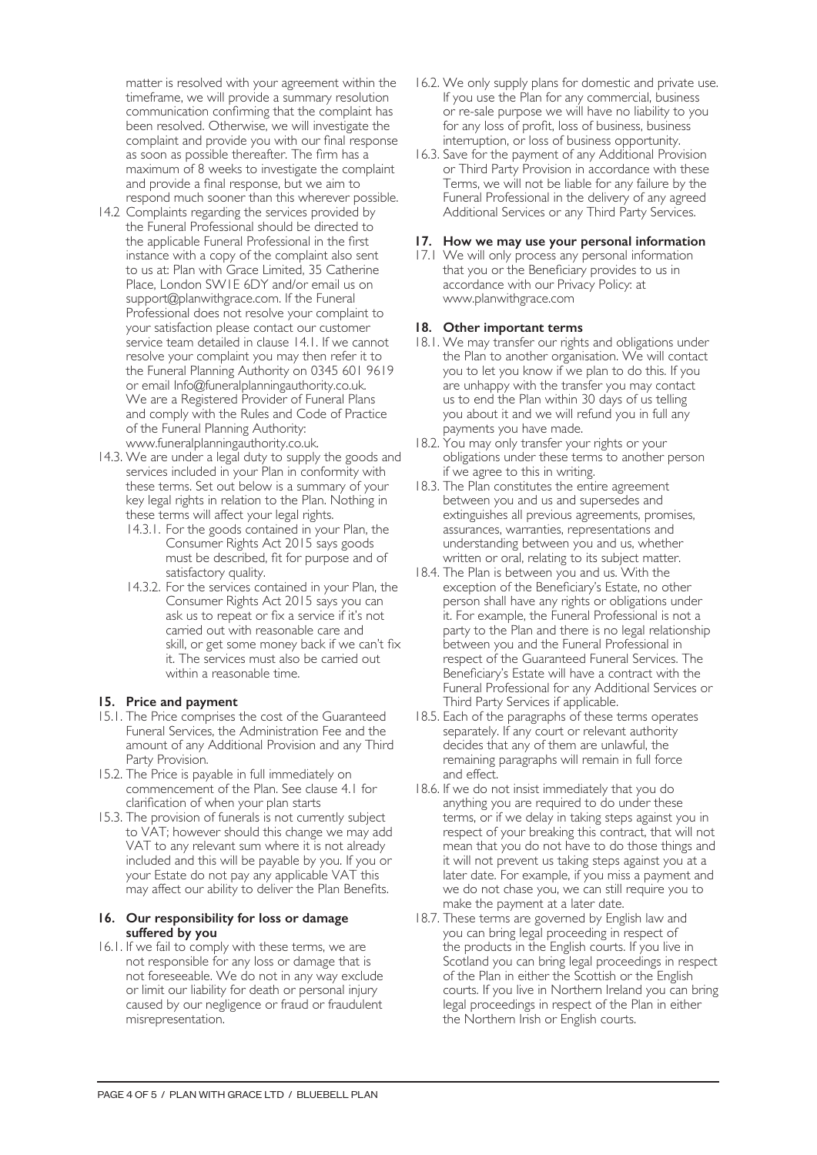matter is resolved with your agreement within the timeframe, we will provide a summary resolution communication confirming that the complaint has been resolved. Otherwise, we will investigate the complaint and provide you with our final response as soon as possible thereafter. The firm has a maximum of 8 weeks to investigate the complaint and provide a final response, but we aim to respond much sooner than this wherever possible.

- 14.2 Complaints regarding the services provided by the Funeral Professional should be directed to the applicable Funeral Professional in the first instance with a copy of the complaint also sent to us at: Plan with Grace Limited, 35 Catherine Place, London SW1E 6DY and/or email us on support@planwithgrace.com. If the Funeral Professional does not resolve your complaint to your satisfaction please contact our customer service team detailed in clause 14.1. If we cannot resolve your complaint you may then refer it to the Funeral Planning Authority on 0345 601 9619 or email Info@funeralplanningauthority.co.uk. We are a Registered Provider of Funeral Plans and comply with the Rules and Code of Practice of the Funeral Planning Authority: www.funeralplanningauthority.co.uk.
- 14.3. We are under a legal duty to supply the goods and services included in your Plan in conformity with these terms. Set out below is a summary of your key legal rights in relation to the Plan. Nothing in these terms will affect your legal rights.
	- 14.3.1. For the goods contained in your Plan, the Consumer Rights Act 2015 says goods must be described, fit for purpose and of satisfactory quality.
	- 14.3.2. For the services contained in your Plan, the Consumer Rights Act 2015 says you can ask us to repeat or fix a service if it's not carried out with reasonable care and skill, or get some money back if we can't fix it. The services must also be carried out within a reasonable time.

### **15. Price and payment**

- 15.1. The Price comprises the cost of the Guaranteed Funeral Services, the Administration Fee and the amount of any Additional Provision and any Third Party Provision.
- 15.2. The Price is payable in full immediately on commencement of the Plan. See clause 4.1 for clarification of when your plan starts
- 15.3. The provision of funerals is not currently subject to VAT; however should this change we may add VAT to any relevant sum where it is not already included and this will be payable by you. If you or your Estate do not pay any applicable VAT this may affect our ability to deliver the Plan Benefits.

#### **16. Our responsibility for loss or damage suffered by you**

16.1. If we fail to comply with these terms, we are not responsible for any loss or damage that is not foreseeable. We do not in any way exclude or limit our liability for death or personal injury caused by our negligence or fraud or fraudulent misrepresentation.

- 16.2. We only supply plans for domestic and private use. If you use the Plan for any commercial, business or re-sale purpose we will have no liability to you for any loss of profit, loss of business, business interruption, or loss of business opportunity.
- 16.3. Save for the payment of any Additional Provision or Third Party Provision in accordance with these Terms, we will not be liable for any failure by the Funeral Professional in the delivery of any agreed Additional Services or any Third Party Services.

## **17. How we may use your personal information**

17.1 We will only process any personal information that you or the Beneficiary provides to us in accordance with our Privacy Policy: at www.planwithgrace.com

# **18. Other important terms**

- 18.1. We may transfer our rights and obligations under the Plan to another organisation. We will contact you to let you know if we plan to do this. If you are unhappy with the transfer you may contact us to end the Plan within 30 days of us telling you about it and we will refund you in full any payments you have made.
- 18.2. You may only transfer your rights or your obligations under these terms to another person if we agree to this in writing.
- 18.3. The Plan constitutes the entire agreement between you and us and supersedes and extinguishes all previous agreements, promises, assurances, warranties, representations and understanding between you and us, whether written or oral, relating to its subject matter.
- 18.4. The Plan is between you and us. With the exception of the Beneficiary's Estate, no other person shall have any rights or obligations under it. For example, the Funeral Professional is not a party to the Plan and there is no legal relationship between you and the Funeral Professional in respect of the Guaranteed Funeral Services. The Beneficiary's Estate will have a contract with the Funeral Professional for any Additional Services or Third Party Services if applicable.
- 18.5. Each of the paragraphs of these terms operates separately. If any court or relevant authority decides that any of them are unlawful, the remaining paragraphs will remain in full force and effect.
- 18.6. If we do not insist immediately that you do anything you are required to do under these terms, or if we delay in taking steps against you in respect of your breaking this contract, that will not mean that you do not have to do those things and it will not prevent us taking steps against you at a later date. For example, if you miss a payment and we do not chase you, we can still require you to make the payment at a later date.
- 18.7. These terms are governed by English law and you can bring legal proceeding in respect of the products in the English courts. If you live in Scotland you can bring legal proceedings in respect of the Plan in either the Scottish or the English courts. If you live in Northern Ireland you can bring legal proceedings in respect of the Plan in either the Northern Irish or English courts.